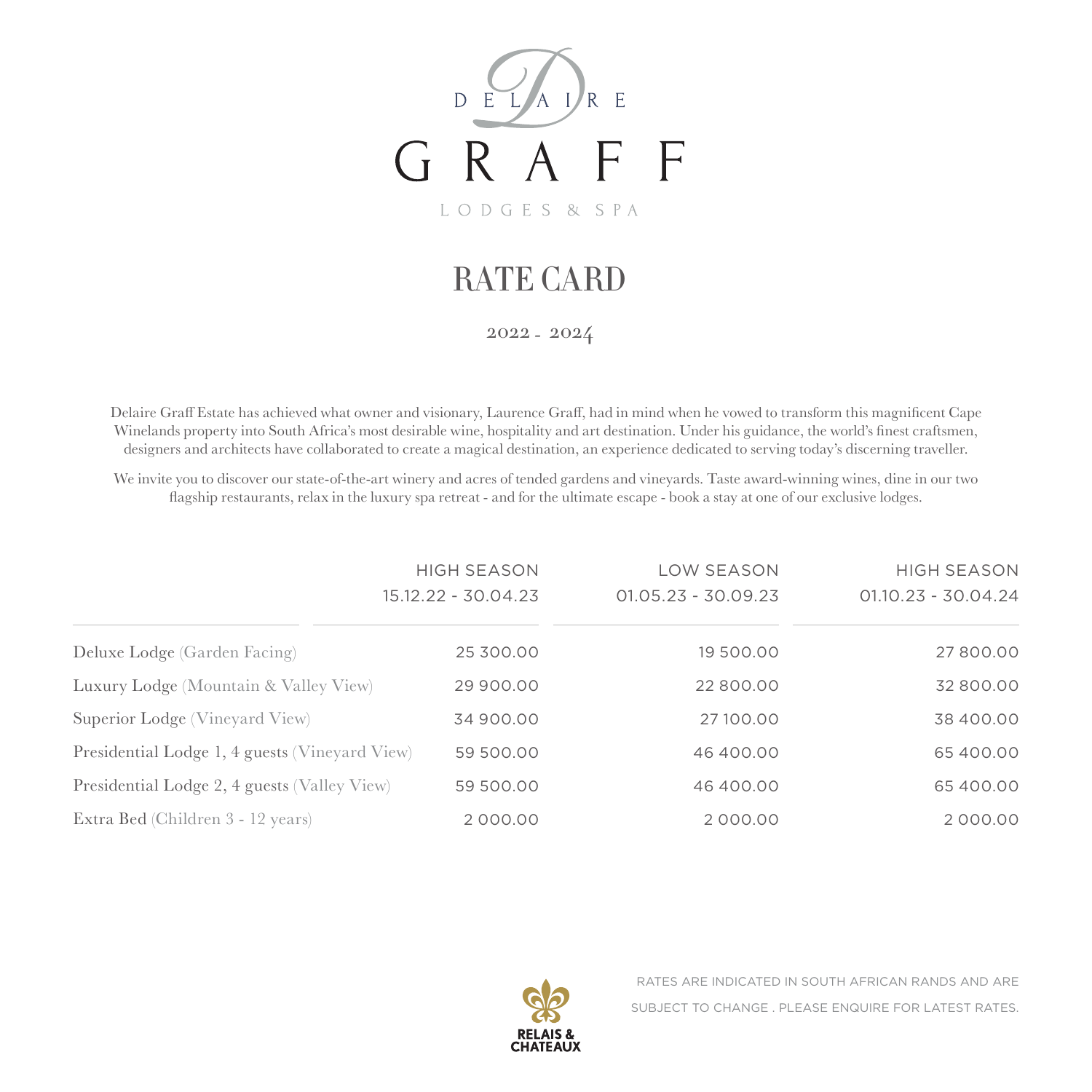

# RATE CARD

# 2022 - 2024

Delaire Graff Estate has achieved what owner and visionary, Laurence Graff, had in mind when he vowed to transform this magnificent Cape Winelands property into South Africa's most desirable wine, hospitality and art destination. Under his guidance, the world's finest craftsmen, designers and architects have collaborated to create a magical destination, an experience dedicated to serving today's discerning traveller.

We invite you to discover our state-of-the-art winery and acres of tended gardens and vineyards. Taste award-winning wines, dine in our two flagship restaurants, relax in the luxury spa retreat - and for the ultimate escape - book a stay at one of our exclusive lodges.

| <b>HIGH SEASON</b><br>15.12.22 - 30.04.23      |           | LOW SEASON<br>$01.05.23 - 30.09.23$ | <b>HIGH SEASON</b><br>$01.10.23 - 30.04.24$ |
|------------------------------------------------|-----------|-------------------------------------|---------------------------------------------|
| Deluxe Lodge (Garden Facing)                   | 25 300.00 | 19 500.00                           | 27800.00                                    |
| Luxury Lodge (Mountain & Valley View)          | 29 900.00 | 22 800.00                           | 32 800.00                                   |
| Superior Lodge (Vineyard View)                 | 34 900.00 | 27 100.00                           | 38 400.00                                   |
| Presidential Lodge 1, 4 guests (Vineyard View) | 59 500.00 | 46 400.00                           | 65 400.00                                   |
| Presidential Lodge 2, 4 guests (Valley View)   | 59 500.00 | 46 400.00                           | 65 400.00                                   |
| Extra Bed (Children 3 - 12 years)              | 2000.00   | 2000.00                             | 2000.00                                     |